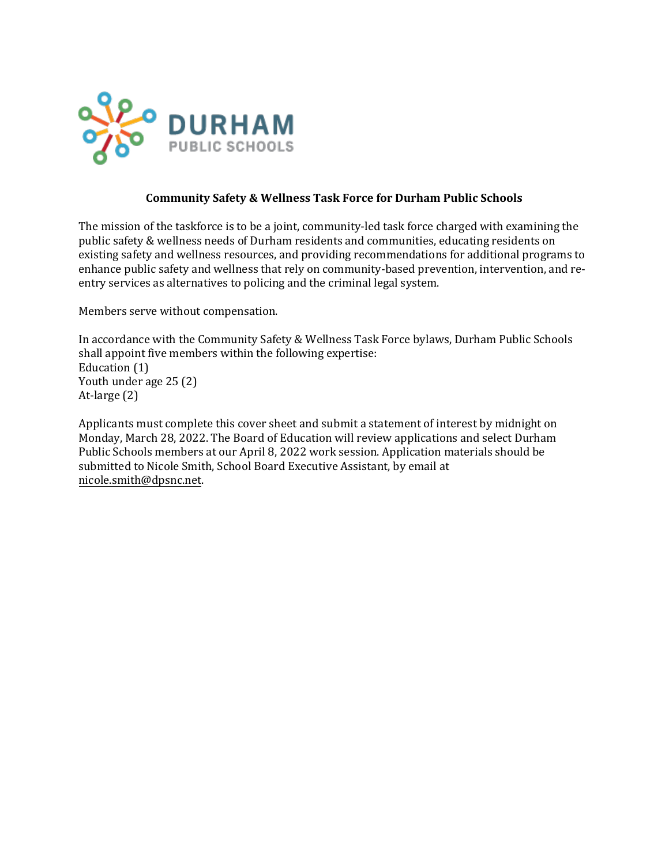

## **Community Safety & Wellness Task Force for Durham Public Schools**

The mission of the taskforce is to be a joint, community-led task force charged with examining the public safety & wellness needs of Durham residents and communities, educating residents on existing safety and wellness resources, and providing recommendations for additional programs to enhance public safety and wellness that rely on community-based prevention, intervention, and reentry services as alternatives to policing and the criminal legal system.

Members serve without compensation.

In accordance with the Community Safety & Wellness Task Force bylaws, Durham Public Schools shall appoint five members within the following expertise: Education (1) Youth under age 25 (2) At-large (2)

Applicants must complete this cover sheet and submit a statement of interest by midnight on Monday, March 28, 2022. The Board of Education will review applications and select Durham Public Schools members at our April 8, 2022 work session. Application materials should be submitted to Nicole Smith, School Board Executive Assistant, by email at [nicole.smith@dpsnc.net.](mailto:nicole.smith@dpsnc.net)